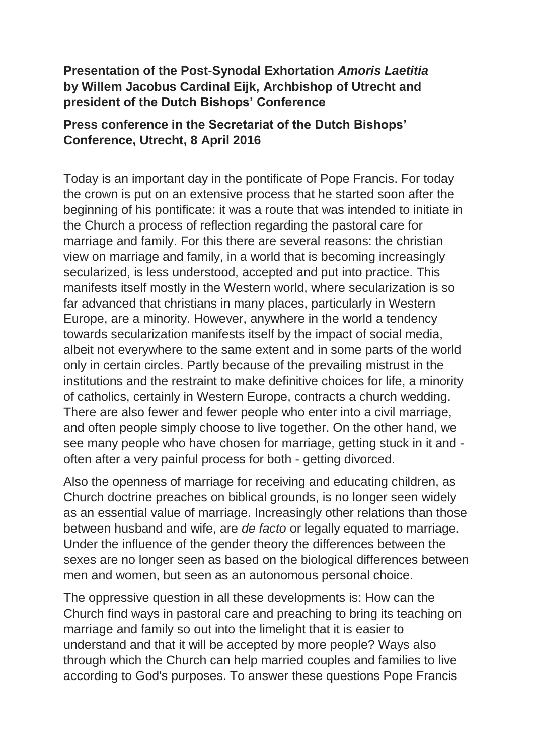## **Presentation of the Post-Synodal Exhortation** *Amoris Laetitia* **by Willem Jacobus Cardinal Eijk, Archbishop of Utrecht and president of the Dutch Bishops' Conference**

## **Press conference in the Secretariat of the Dutch Bishops' Conference, Utrecht, 8 April 2016**

Today is an important day in the pontificate of Pope Francis. For today the crown is put on an extensive process that he started soon after the beginning of his pontificate: it was a route that was intended to initiate in the Church a process of reflection regarding the pastoral care for marriage and family. For this there are several reasons: the christian view on marriage and family, in a world that is becoming increasingly secularized, is less understood, accepted and put into practice. This manifests itself mostly in the Western world, where secularization is so far advanced that christians in many places, particularly in Western Europe, are a minority. However, anywhere in the world a tendency towards secularization manifests itself by the impact of social media, albeit not everywhere to the same extent and in some parts of the world only in certain circles. Partly because of the prevailing mistrust in the institutions and the restraint to make definitive choices for life, a minority of catholics, certainly in Western Europe, contracts a church wedding. There are also fewer and fewer people who enter into a civil marriage, and often people simply choose to live together. On the other hand, we see many people who have chosen for marriage, getting stuck in it and often after a very painful process for both - getting divorced.

Also the openness of marriage for receiving and educating children, as Church doctrine preaches on biblical grounds, is no longer seen widely as an essential value of marriage. Increasingly other relations than those between husband and wife, are *de facto* or legally equated to marriage. Under the influence of the gender theory the differences between the sexes are no longer seen as based on the biological differences between men and women, but seen as an autonomous personal choice.

The oppressive question in all these developments is: How can the Church find ways in pastoral care and preaching to bring its teaching on marriage and family so out into the limelight that it is easier to understand and that it will be accepted by more people? Ways also through which the Church can help married couples and families to live according to God's purposes. To answer these questions Pope Francis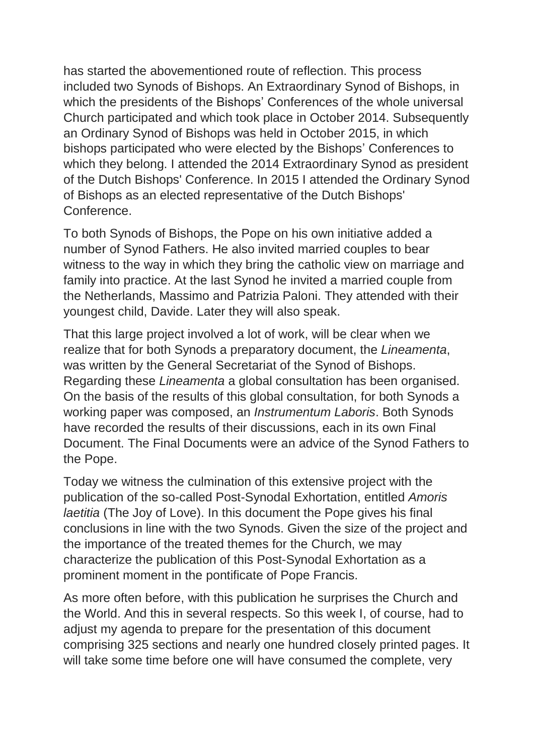has started the abovementioned route of reflection. This process included two Synods of Bishops. An Extraordinary Synod of Bishops, in which the presidents of the Bishops' Conferences of the whole universal Church participated and which took place in October 2014. Subsequently an Ordinary Synod of Bishops was held in October 2015, in which bishops participated who were elected by the Bishops' Conferences to which they belong. I attended the 2014 Extraordinary Synod as president of the Dutch Bishops' Conference. In 2015 I attended the Ordinary Synod of Bishops as an elected representative of the Dutch Bishops' Conference.

To both Synods of Bishops, the Pope on his own initiative added a number of Synod Fathers. He also invited married couples to bear witness to the way in which they bring the catholic view on marriage and family into practice. At the last Synod he invited a married couple from the Netherlands, Massimo and Patrizia Paloni. They attended with their youngest child, Davide. Later they will also speak.

That this large project involved a lot of work, will be clear when we realize that for both Synods a preparatory document, the *Lineamenta*, was written by the General Secretariat of the Synod of Bishops. Regarding these *Lineamenta* a global consultation has been organised. On the basis of the results of this global consultation, for both Synods a working paper was composed, an *Instrumentum Laboris*. Both Synods have recorded the results of their discussions, each in its own Final Document. The Final Documents were an advice of the Synod Fathers to the Pope.

Today we witness the culmination of this extensive project with the publication of the so-called Post-Synodal Exhortation, entitled *Amoris laetitia* (The Joy of Love). In this document the Pope gives his final conclusions in line with the two Synods. Given the size of the project and the importance of the treated themes for the Church, we may characterize the publication of this Post-Synodal Exhortation as a prominent moment in the pontificate of Pope Francis.

As more often before, with this publication he surprises the Church and the World. And this in several respects. So this week I, of course, had to adjust my agenda to prepare for the presentation of this document comprising 325 sections and nearly one hundred closely printed pages. It will take some time before one will have consumed the complete, very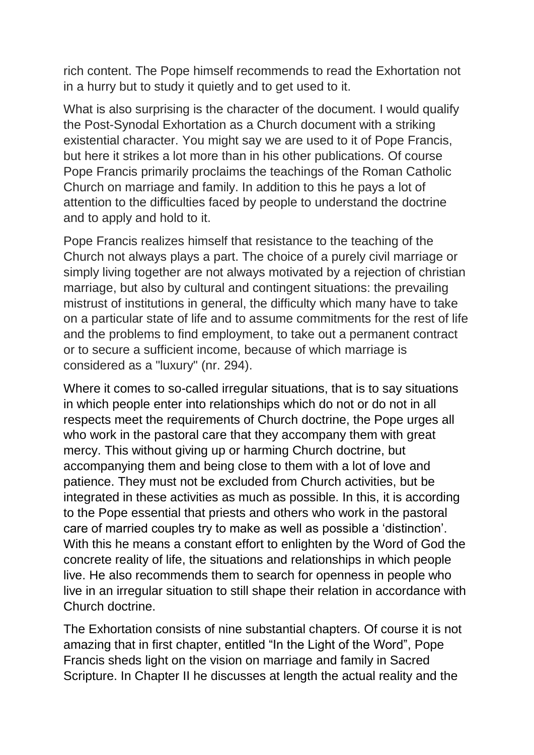rich content. The Pope himself recommends to read the Exhortation not in a hurry but to study it quietly and to get used to it.

What is also surprising is the character of the document. I would qualify the Post-Synodal Exhortation as a Church document with a striking existential character. You might say we are used to it of Pope Francis, but here it strikes a lot more than in his other publications. Of course Pope Francis primarily proclaims the teachings of the Roman Catholic Church on marriage and family. In addition to this he pays a lot of attention to the difficulties faced by people to understand the doctrine and to apply and hold to it.

Pope Francis realizes himself that resistance to the teaching of the Church not always plays a part. The choice of a purely civil marriage or simply living together are not always motivated by a rejection of christian marriage, but also by cultural and contingent situations: the prevailing mistrust of institutions in general, the difficulty which many have to take on a particular state of life and to assume commitments for the rest of life and the problems to find employment, to take out a permanent contract or to secure a sufficient income, because of which marriage is considered as a "luxury" (nr. 294).

Where it comes to so-called irregular situations, that is to say situations in which people enter into relationships which do not or do not in all respects meet the requirements of Church doctrine, the Pope urges all who work in the pastoral care that they accompany them with great mercy. This without giving up or harming Church doctrine, but accompanying them and being close to them with a lot of love and patience. They must not be excluded from Church activities, but be integrated in these activities as much as possible. In this, it is according to the Pope essential that priests and others who work in the pastoral care of married couples try to make as well as possible a 'distinction'. With this he means a constant effort to enlighten by the Word of God the concrete reality of life, the situations and relationships in which people live. He also recommends them to search for openness in people who live in an irregular situation to still shape their relation in accordance with Church doctrine.

The Exhortation consists of nine substantial chapters. Of course it is not amazing that in first chapter, entitled "In the Light of the Word", Pope Francis sheds light on the vision on marriage and family in Sacred Scripture. In Chapter II he discusses at length the actual reality and the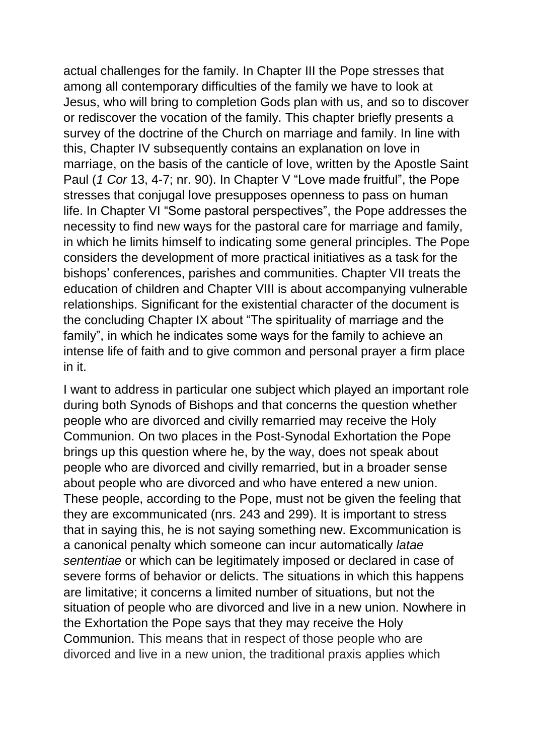actual challenges for the family. In Chapter III the Pope stresses that among all contemporary difficulties of the family we have to look at Jesus, who will bring to completion Gods plan with us, and so to discover or rediscover the vocation of the family. This chapter briefly presents a survey of the doctrine of the Church on marriage and family. In line with this, Chapter IV subsequently contains an explanation on love in marriage, on the basis of the canticle of love, written by the Apostle Saint Paul (*1 Cor* 13, 4-7; nr. 90). In Chapter V "Love made fruitful", the Pope stresses that conjugal love presupposes openness to pass on human life. In Chapter VI "Some pastoral perspectives", the Pope addresses the necessity to find new ways for the pastoral care for marriage and family, in which he limits himself to indicating some general principles. The Pope considers the development of more practical initiatives as a task for the bishops' conferences, parishes and communities. Chapter VII treats the education of children and Chapter VIII is about accompanying vulnerable relationships. Significant for the existential character of the document is the concluding Chapter IX about "The spirituality of marriage and the family", in which he indicates some ways for the family to achieve an intense life of faith and to give common and personal prayer a firm place in it.

I want to address in particular one subject which played an important role during both Synods of Bishops and that concerns the question whether people who are divorced and civilly remarried may receive the Holy Communion. On two places in the Post-Synodal Exhortation the Pope brings up this question where he, by the way, does not speak about people who are divorced and civilly remarried, but in a broader sense about people who are divorced and who have entered a new union. These people, according to the Pope, must not be given the feeling that they are excommunicated (nrs. 243 and 299). It is important to stress that in saying this, he is not saying something new. Excommunication is a canonical penalty which someone can incur automatically *latae sententiae* or which can be legitimately imposed or declared in case of severe forms of behavior or delicts. The situations in which this happens are limitative; it concerns a limited number of situations, but not the situation of people who are divorced and live in a new union. Nowhere in the Exhortation the Pope says that they may receive the Holy Communion. This means that in respect of those people who are divorced and live in a new union, the traditional praxis applies which